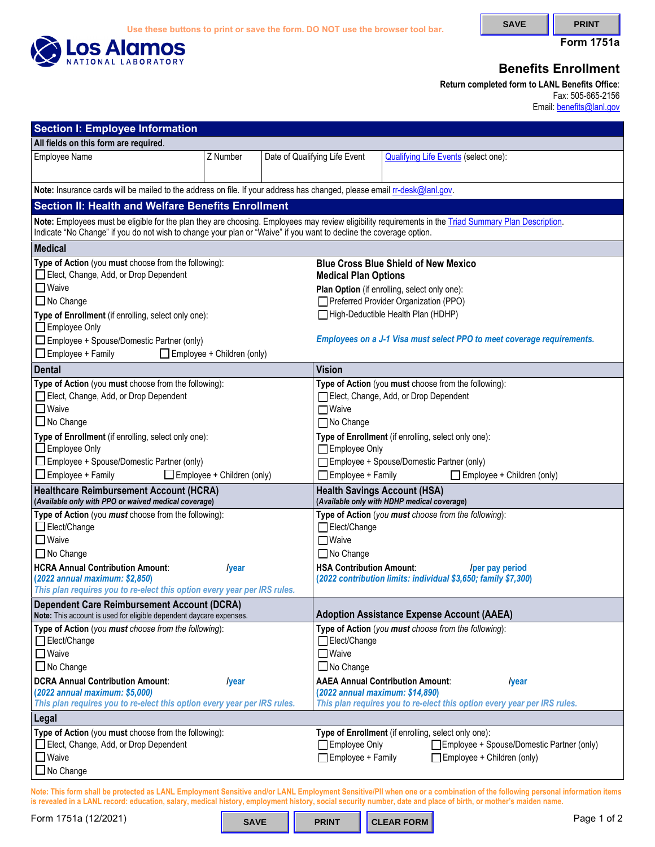

**Form 1751a** 

## **Benefits Enrollment**

**Return completed form to LANL Benefits Office**: Fax: 505-665-2156 Email: **benefits@lanl.gov** 

| <b>Section I: Employee Information</b>                                                                                                                                                                                                                                      |                                   |  |                                                                                                                                                                      |                                                                                                                                                                                             |  |  |  |  |  |  |  |
|-----------------------------------------------------------------------------------------------------------------------------------------------------------------------------------------------------------------------------------------------------------------------------|-----------------------------------|--|----------------------------------------------------------------------------------------------------------------------------------------------------------------------|---------------------------------------------------------------------------------------------------------------------------------------------------------------------------------------------|--|--|--|--|--|--|--|
| All fields on this form are required.                                                                                                                                                                                                                                       |                                   |  |                                                                                                                                                                      |                                                                                                                                                                                             |  |  |  |  |  |  |  |
| <b>Employee Name</b>                                                                                                                                                                                                                                                        | Z Number                          |  | Date of Qualifying Life Event                                                                                                                                        | <b>Qualifying Life Events (select one):</b>                                                                                                                                                 |  |  |  |  |  |  |  |
| Note: Insurance cards will be mailed to the address on file. If your address has changed, please email rr-desk@lanl.gov.                                                                                                                                                    |                                   |  |                                                                                                                                                                      |                                                                                                                                                                                             |  |  |  |  |  |  |  |
| <b>Section II: Health and Welfare Benefits Enrollment</b>                                                                                                                                                                                                                   |                                   |  |                                                                                                                                                                      |                                                                                                                                                                                             |  |  |  |  |  |  |  |
| Note: Employees must be eligible for the plan they are choosing. Employees may review eligibility requirements in the Triad Summary Plan Description.<br>Indicate "No Change" if you do not wish to change your plan or "Waive" if you want to decline the coverage option. |                                   |  |                                                                                                                                                                      |                                                                                                                                                                                             |  |  |  |  |  |  |  |
| <b>Medical</b>                                                                                                                                                                                                                                                              |                                   |  |                                                                                                                                                                      |                                                                                                                                                                                             |  |  |  |  |  |  |  |
| Type of Action (you must choose from the following):<br>Elect, Change, Add, or Drop Dependent<br>$\Box$ Waive                                                                                                                                                               |                                   |  | <b>Blue Cross Blue Shield of New Mexico</b><br><b>Medical Plan Options</b>                                                                                           |                                                                                                                                                                                             |  |  |  |  |  |  |  |
| □ No Change                                                                                                                                                                                                                                                                 |                                   |  | Plan Option (if enrolling, select only one):<br>Preferred Provider Organization (PPO)                                                                                |                                                                                                                                                                                             |  |  |  |  |  |  |  |
| Type of Enrollment (if enrolling, select only one):<br>Employee Only                                                                                                                                                                                                        |                                   |  | High-Deductible Health Plan (HDHP)                                                                                                                                   |                                                                                                                                                                                             |  |  |  |  |  |  |  |
| $\Box$ Employee + Spouse/Domestic Partner (only)<br>Employee + Family                                                                                                                                                                                                       | $\Box$ Employee + Children (only) |  | Employees on a J-1 Visa must select PPO to meet coverage requirements.                                                                                               |                                                                                                                                                                                             |  |  |  |  |  |  |  |
| <b>Dental</b>                                                                                                                                                                                                                                                               |                                   |  | <b>Vision</b>                                                                                                                                                        |                                                                                                                                                                                             |  |  |  |  |  |  |  |
| Type of Action (you must choose from the following):<br>Elect, Change, Add, or Drop Dependent<br>$\Box$ Waive<br>$\Box$ No Change                                                                                                                                           |                                   |  | Type of Action (you must choose from the following):<br>Elect, Change, Add, or Drop Dependent<br>$\Box$ Waive<br>□ No Change                                         |                                                                                                                                                                                             |  |  |  |  |  |  |  |
| Type of Enrollment (if enrolling, select only one):<br>$\Box$ Employee Only<br>$\Box$ Employee + Spouse/Domestic Partner (only)<br>$\Box$ Employee + Family<br>$\Box$ Employee + Children (only)                                                                            |                                   |  | Type of Enrollment (if enrolling, select only one):<br>Employee Only<br>Employee + Spouse/Domestic Partner (only)<br>Employee + Family<br>Employee + Children (only) |                                                                                                                                                                                             |  |  |  |  |  |  |  |
| <b>Healthcare Reimbursement Account (HCRA)</b><br>(Available only with PPO or waived medical coverage)                                                                                                                                                                      |                                   |  | <b>Health Savings Account (HSA)</b><br>(Available only with HDHP medical coverage)                                                                                   |                                                                                                                                                                                             |  |  |  |  |  |  |  |
| Type of Action (you must choose from the following):<br>Elect/Change<br>$\Box$ Waive<br>□ No Change<br><b>HCRA Annual Contribution Amount:</b><br>(2022 annual maximum: \$2,850)<br>This plan requires you to re-elect this option every year per IRS rules.                | <i>lyear</i>                      |  | Elect/Change<br>$\Box$ Waive<br>$\Box$ No Change<br><b>HSA Contribution Amount:</b>                                                                                  | Type of Action (you must choose from the following):<br>/per pay period<br>(2022 contribution limits: individual \$3,650; family \$7,300)                                                   |  |  |  |  |  |  |  |
| <b>Dependent Care Reimbursement Account (DCRA)</b><br>Note: This account is used for eligible dependent daycare expenses.                                                                                                                                                   |                                   |  | <b>Adoption Assistance Expense Account (AAEA)</b>                                                                                                                    |                                                                                                                                                                                             |  |  |  |  |  |  |  |
| Type of Action (you must choose from the following):<br>Elect/Change<br>$\Box$ Waive<br>□ No Change<br><b>DCRA Annual Contribution Amount:</b><br>(2022 annual maximum: \$5,000)<br>This plan requires you to re-elect this option every year per IRS rules.                | <i>lyear</i>                      |  | Elect/Change<br>$\Box$ Waive<br>$\Box$ No Change<br>(2022 annual maximum: \$14,890)                                                                                  | Type of Action (you must choose from the following):<br><b>AAEA Annual Contribution Amount:</b><br><i>lyear</i><br>This plan requires you to re-elect this option every year per IRS rules. |  |  |  |  |  |  |  |
| Legal                                                                                                                                                                                                                                                                       |                                   |  |                                                                                                                                                                      |                                                                                                                                                                                             |  |  |  |  |  |  |  |
| Type of Action (you must choose from the following):<br>Elect, Change, Add, or Drop Dependent<br>$\Box$ Waive<br>$\Box$ No Change                                                                                                                                           |                                   |  | Type of Enrollment (if enrolling, select only one):<br>Employee Only<br>Employee + Spouse/Domestic Partner (only)<br>Employee + Family<br>Employee + Children (only) |                                                                                                                                                                                             |  |  |  |  |  |  |  |

**Note: This form shall be protected as LANL Employment Sensitive and/or LANL Employment Sensitive/PII when one or a combination of the following personal information items is revealed in a LANL record: education, salary, medical history, employment history, social security number, date and place of birth, or mother's maiden name.** 

Form 1751a (12/2021) **Page 1 of 2 SAVE RINT CLEAR FORM** 

**CLEAR FORM**